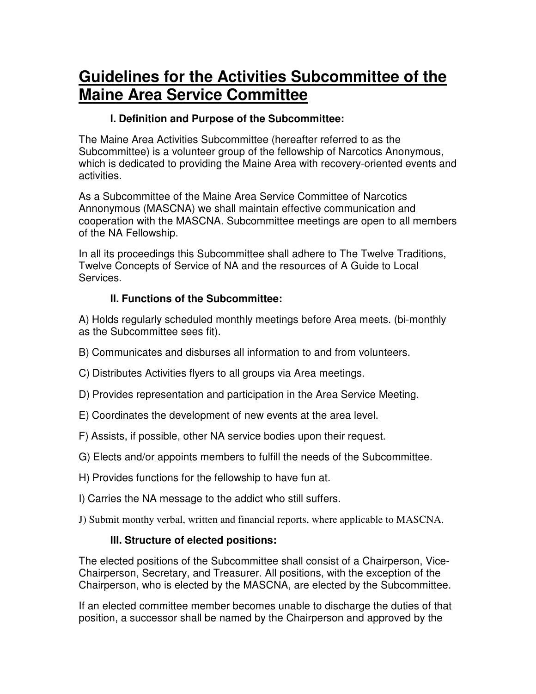# **Guidelines for the Activities Subcommittee of the Maine Area Service Committee**

#### **I. Definition and Purpose of the Subcommittee:**

The Maine Area Activities Subcommittee (hereafter referred to as the Subcommittee) is a volunteer group of the fellowship of Narcotics Anonymous, which is dedicated to providing the Maine Area with recovery-oriented events and activities.

As a Subcommittee of the Maine Area Service Committee of Narcotics Annonymous (MASCNA) we shall maintain effective communication and cooperation with the MASCNA. Subcommittee meetings are open to all members of the NA Fellowship.

In all its proceedings this Subcommittee shall adhere to The Twelve Traditions, Twelve Concepts of Service of NA and the resources of A Guide to Local Services.

## **II. Functions of the Subcommittee:**

A) Holds regularly scheduled monthly meetings before Area meets. (bi-monthly as the Subcommittee sees fit).

- B) Communicates and disburses all information to and from volunteers.
- C) Distributes Activities flyers to all groups via Area meetings.
- D) Provides representation and participation in the Area Service Meeting.
- E) Coordinates the development of new events at the area level.
- F) Assists, if possible, other NA service bodies upon their request.
- G) Elects and/or appoints members to fulfill the needs of the Subcommittee.
- H) Provides functions for the fellowship to have fun at.
- I) Carries the NA message to the addict who still suffers.
- J) Submit monthy verbal, written and financial reports, where applicable to MASCNA.

#### **III. Structure of elected positions:**

The elected positions of the Subcommittee shall consist of a Chairperson, Vice-Chairperson, Secretary, and Treasurer. All positions, with the exception of the Chairperson, who is elected by the MASCNA, are elected by the Subcommittee.

If an elected committee member becomes unable to discharge the duties of that position, a successor shall be named by the Chairperson and approved by the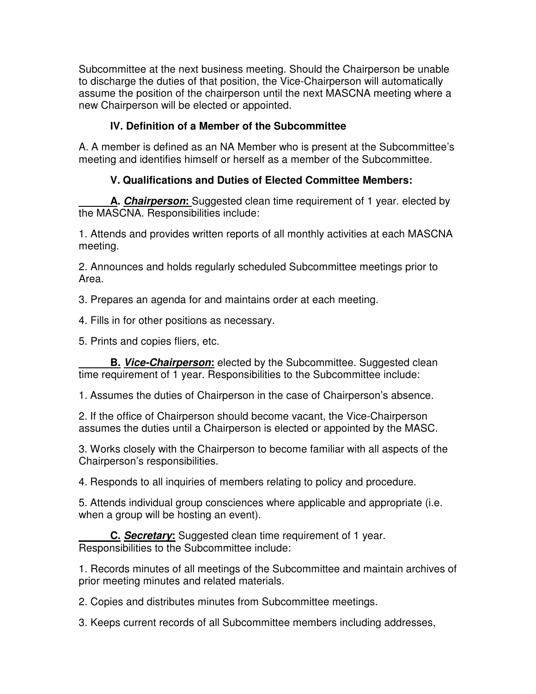Subcommittee at the next business meeting. Should the Chairperson be unable to discharge the duties of that position, the Vice-Chairperson will automatically assume the position of the chairperson until the next MASCNA meeting where a new Chairperson will be elected or appointed.

# **IV. Definition of a Member of the Subcommittee**

A. A member is defined as an NA Member who is present at the Subcommittee's meeting and identifies himself or herself as a member of the Subcommittee.

## **V. Qualifications and Duties of Elected Committee Members:**

 **A. Chairperson:** Suggested clean time requirement of 1 year. elected by the MASCNA. Responsibilities include:

1. Attends and provides written reports of all monthly activities at each MASCNA meeting.

2. Announces and holds regularly scheduled Subcommittee meetings prior to Area.

3. Prepares an agenda for and maintains order at each meeting.

4. Fills in for other positions as necessary.

5. Prints and copies fliers, etc.

 **B. Vice-Chairperson:** elected by the Subcommittee. Suggested clean time requirement of 1 year. Responsibilities to the Subcommittee include:

1. Assumes the duties of Chairperson in the case of Chairperson's absence.

2. If the office of Chairperson should become vacant, the Vice-Chairperson assumes the duties until a Chairperson is elected or appointed by the MASC.

3. Works closely with the Chairperson to become familiar with all aspects of the Chairperson's responsibilities.

4. Responds to all inquiries of members relating to policy and procedure.

5. Attends individual group consciences where applicable and appropriate (i.e. when a group will be hosting an event).

 **C. Secretary:** Suggested clean time requirement of 1 year. Responsibilities to the Subcommittee include:

1. Records minutes of all meetings of the Subcommittee and maintain archives of prior meeting minutes and related materials.

2. Copies and distributes minutes from Subcommittee meetings.

3. Keeps current records of all Subcommittee members including addresses,